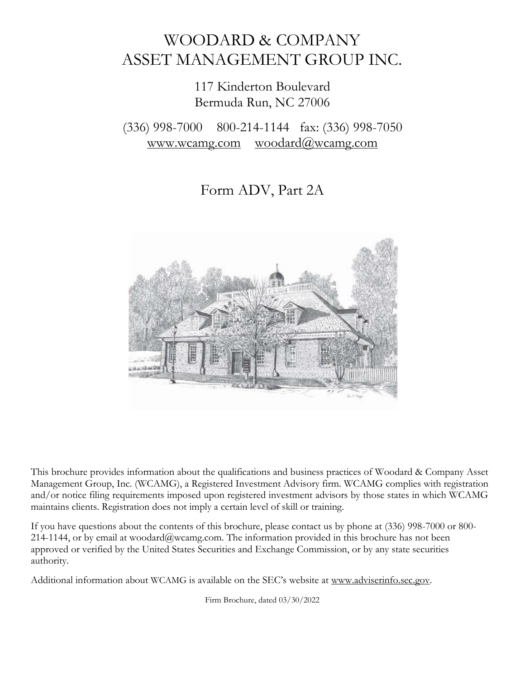# WOODARD & COMPANY ASSET MANAGEMENT GROUP INC.

## 117 Kinderton Boulevard Bermuda Run, NC 27006

(336) 998-7000 800-214-1144 fax: (336) 998-7050 [www.wcamg.com](http://www.wcamg.com/) [woodard@wcamg.com](mailto:woodard@wcamg.com)

Form ADV, Part 2A



This brochure provides information about the qualifications and business practices of Woodard & Company Asset Management Group, Inc. (WCAMG), a Registered Investment Advisory firm. WCAMG complies with registration and/or notice filing requirements imposed upon registered investment advisors by those states in which WCAMG maintains clients. Registration does not imply a certain level of skill or training.

If you have questions about the contents of this brochure, please contact us by phone at (336) 998-7000 or 800- 214-1144, or by email at [woodard@wcamg.com. T](mailto:woodard@wcamg.com)he information provided in this brochure has not been approved or verified by the United States Securities and Exchange Commission, or by any state securities authority.

Additional information about WCAMG is available on the SEC's website at [www.adviserinfo.sec.gov.](http://www.adviserinfo.sec.gov/)

Firm Brochure, dated 03/30/2022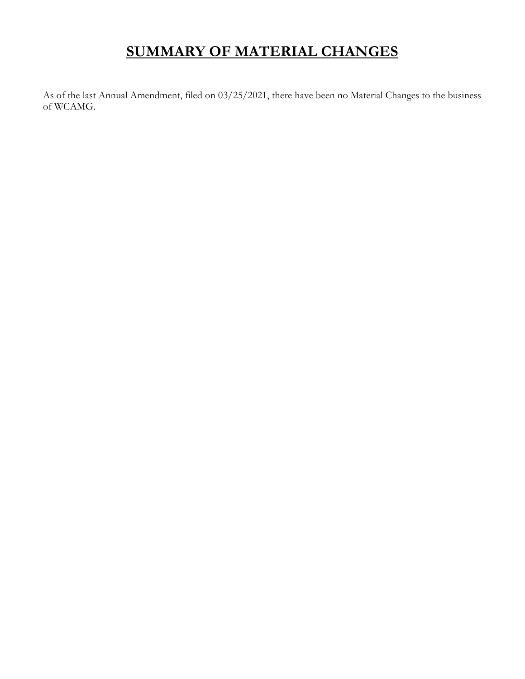# **SUMMARY OF MATERIAL CHANGES**

As of the last Annual Amendment, filed on 03/25/2021, there have been no Material Changes to the business of WCAMG.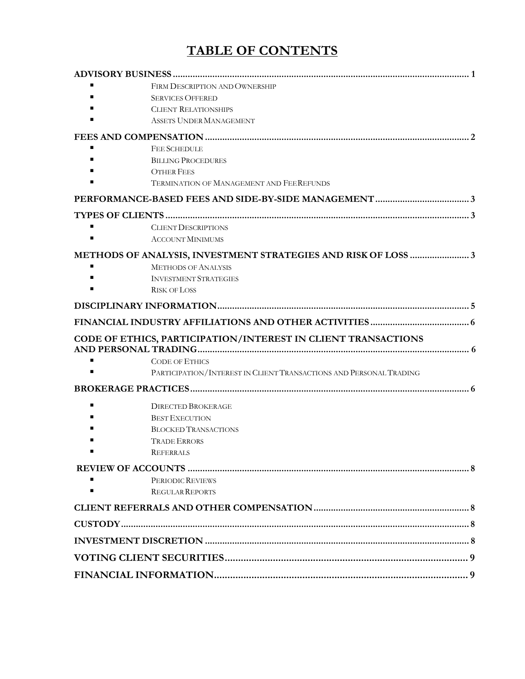## **TABLE OF CONTENTS**

| FIRM DESCRIPTION AND OWNERSHIP                                     |  |
|--------------------------------------------------------------------|--|
| <b>SERVICES OFFERED</b>                                            |  |
| <b>CLIENT RELATIONSHIPS</b>                                        |  |
| ASSETS UNDER MANAGEMENT                                            |  |
|                                                                    |  |
| <b>FEE SCHEDULE</b>                                                |  |
| <b>BILLING PROCEDURES</b>                                          |  |
| <b>OTHER FEES</b>                                                  |  |
| <b>TERMINATION OF MANAGEMENT AND FEEREFUNDS</b>                    |  |
|                                                                    |  |
|                                                                    |  |
| <b>CLIENT DESCRIPTIONS</b>                                         |  |
| <b>ACCOUNT MINIMUMS</b>                                            |  |
| METHODS OF ANALYSIS, INVESTMENT STRATEGIES AND RISK OF LOSS 3      |  |
| <b>METHODS OF ANALYSIS</b>                                         |  |
| <b>INVESTMENT STRATEGIES</b>                                       |  |
| <b>RISK OF LOSS</b>                                                |  |
|                                                                    |  |
|                                                                    |  |
| CODE OF ETHICS, PARTICIPATION/INTEREST IN CLIENT TRANSACTIONS      |  |
| <b>CODE OF ETHICS</b>                                              |  |
| PARTICIPATION/INTEREST IN CLIENT TRANSACTIONS AND PERSONAL TRADING |  |
|                                                                    |  |
|                                                                    |  |
| <b>DIRECTED BROKERAGE</b><br><b>BEST EXECUTION</b>                 |  |
| <b>BLOCKED TRANSACTIONS</b>                                        |  |
| <b>TRADE ERRORS</b>                                                |  |
| <b>REFERRALS</b>                                                   |  |
|                                                                    |  |
| PERIODIC REVIEWS                                                   |  |
| <b>REGULAR REPORTS</b>                                             |  |
|                                                                    |  |
|                                                                    |  |
|                                                                    |  |
|                                                                    |  |
|                                                                    |  |
|                                                                    |  |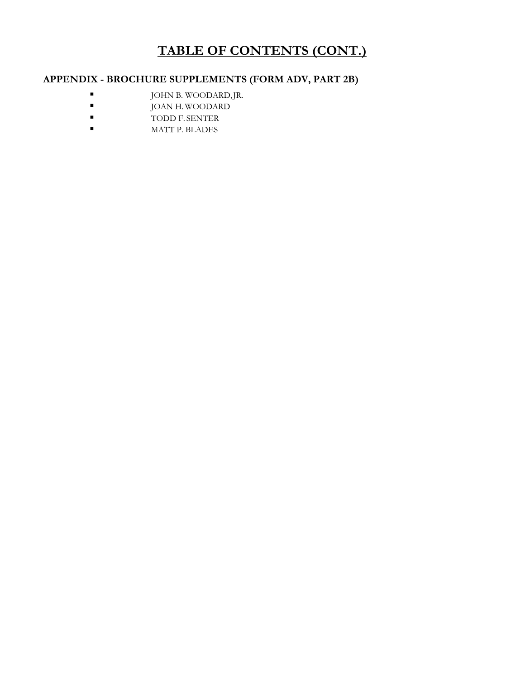## **TABLE OF CONTENTS (CONT.)**

## **APPENDIX - BROCHURE SUPPLEMENTS (FORM ADV, PART 2B)**

- JOHN B. WOODARD, JR.
- JOAN H. WOODARD
- TODD F. SENTER
- MATT P. BLADES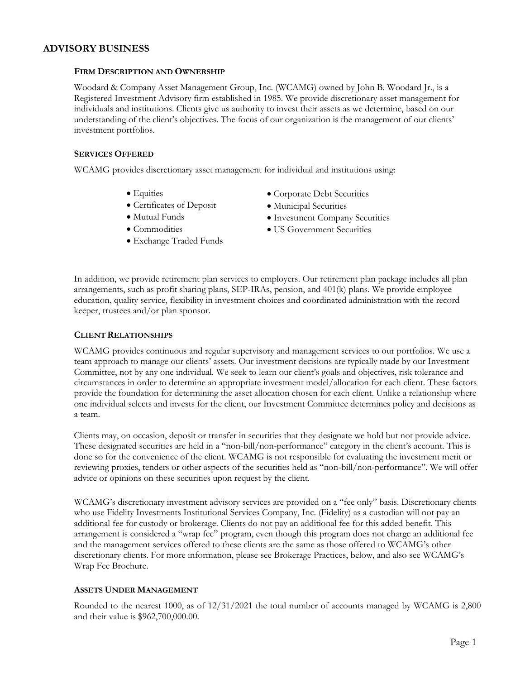#### **ADVISORY BUSINESS**

#### **FIRM DESCRIPTION AND OWNERSHIP**

Woodard & Company Asset Management Group, Inc. (WCAMG) owned by John B. Woodard Jr., is a Registered Investment Advisory firm established in 1985. We provide discretionary asset management for individuals and institutions. Clients give us authority to invest their assets as we determine, based on our understanding of the client's objectives. The focus of our organization is the management of our clients' investment portfolios.

#### **SERVICES OFFERED**

WCAMG provides discretionary asset management for individual and institutions using:

- Equities
- Certificates of Deposit
- Mutual Funds
- Commodities
- Exchange Traded Funds
- Corporate Debt Securities
- Municipal Securities
- Investment Company Securities
- US Government Securities

In addition, we provide retirement plan services to employers. Our retirement plan package includes all plan arrangements, such as profit sharing plans, SEP-IRAs, pension, and 401(k) plans. We provide employee education, quality service, flexibility in investment choices and coordinated administration with the record keeper, trustees and/or plan sponsor.

#### **CLIENTRELATIONSHIPS**

WCAMG provides continuous and regular supervisory and management services to our portfolios. We use a team approach to manage our clients' assets. Our investment decisions are typically made by our Investment Committee, not by any one individual. We seek to learn our client's goals and objectives, risk tolerance and circumstances in order to determine an appropriate investment model/allocation for each client. These factors provide the foundation for determining the asset allocation chosen for each client. Unlike a relationship where one individual selects and invests for the client, our Investment Committee determines policy and decisions as a team.

Clients may, on occasion, deposit or transfer in securities that they designate we hold but not provide advice. These designated securities are held in a "non-bill/non-performance" category in the client's account. This is done so for the convenience of the client. WCAMG is not responsible for evaluating the investment merit or reviewing proxies, tenders or other aspects of the securities held as "non-bill/non-performance". We will offer advice or opinions on these securities upon request by the client.

WCAMG's discretionary investment advisory services are provided on a "fee only" basis. Discretionary clients who use Fidelity Investments Institutional Services Company, Inc. (Fidelity) as a custodian will not pay an additional fee for custody or brokerage. Clients do not pay an additional fee for this added benefit. This arrangement is considered a "wrap fee" program, even though this program does not charge an additional fee and the management services offered to these clients are the same as those offered to WCAMG's other discretionary clients. For more information, please see Brokerage Practices, below, and also see WCAMG's Wrap Fee Brochure.

## **ASSETS UNDER MANAGEMENT**

Rounded to the nearest 1000, as of 12/31/2021 the total number of accounts managed by WCAMG is 2,800 and their value is \$962,700,000.00.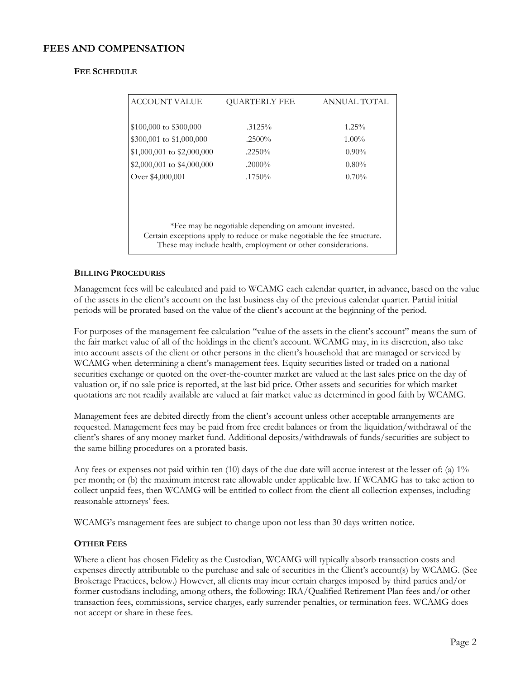## **FEES AND COMPENSATION**

#### **FEE SCHEDULE**

| <b>ACCOUNT VALUE</b>                                                                                                                      | <b>OUARTERLY FEE</b> | ANNUAL TOTAL |  |  |
|-------------------------------------------------------------------------------------------------------------------------------------------|----------------------|--------------|--|--|
|                                                                                                                                           |                      |              |  |  |
| \$100,000 to \$300,000                                                                                                                    | $.3125\%$            | $1.25\%$     |  |  |
| \$300,001 to \$1,000,000                                                                                                                  | $.2500\%$            | $1.00\%$     |  |  |
| $$1,000,001$ to $$2,000,000$                                                                                                              | .2250%               | $0.90\%$     |  |  |
| \$2,000,001 to \$4,000,000                                                                                                                | $.2000\%$            | $0.80\%$     |  |  |
| Over \$4,000,001                                                                                                                          | $.1750\%$            | $0.70\%$     |  |  |
|                                                                                                                                           |                      |              |  |  |
|                                                                                                                                           |                      |              |  |  |
|                                                                                                                                           |                      |              |  |  |
| *Fee may be negotiable depending on amount invested.                                                                                      |                      |              |  |  |
| Certain exceptions apply to reduce or make negotiable the fee structure.<br>These may include health, employment or other considerations. |                      |              |  |  |
|                                                                                                                                           |                      |              |  |  |

#### **BILLING PROCEDURES**

Management fees will be calculated and paid to WCAMG each calendar quarter, in advance, based on the value of the assets in the client's account on the last business day of the previous calendar quarter. Partial initial periods will be prorated based on the value of the client's account at the beginning of the period.

For purposes of the management fee calculation "value of the assets in the client's account" means the sum of the fair market value of all of the holdings in the client's account. WCAMG may, in its discretion, also take into account assets of the client or other persons in the client's household that are managed or serviced by WCAMG when determining a client's management fees. Equity securities listed or traded on a national securities exchange or quoted on the over-the-counter market are valued at the last sales price on the day of valuation or, if no sale price is reported, at the last bid price. Other assets and securities for which market quotations are not readily available are valued at fair market value as determined in good faith by WCAMG.

Management fees are debited directly from the client's account unless other acceptable arrangements are requested. Management fees may be paid from free credit balances or from the liquidation/withdrawal of the client's shares of any money market fund. Additional deposits/withdrawals of funds/securities are subject to the same billing procedures on a prorated basis.

Any fees or expenses not paid within ten (10) days of the due date will accrue interest at the lesser of: (a) 1% per month; or (b) the maximum interest rate allowable under applicable law. If WCAMG has to take action to collect unpaid fees, then WCAMG will be entitled to collect from the client all collection expenses, including reasonable attorneys' fees.

WCAMG's management fees are subject to change upon not less than 30 days written notice.

#### **OTHER FEES**

Where a client has chosen Fidelity as the Custodian, WCAMG will typically absorb transaction costs and expenses directly attributable to the purchase and sale of securities in the Client's account(s) by WCAMG. (See Brokerage Practices, below.) However, all clients may incur certain charges imposed by third parties and/or former custodians including, among others, the following: IRA/Qualified Retirement Plan fees and/or other transaction fees, commissions, service charges, early surrender penalties, or termination fees. WCAMG does not accept or share in these fees.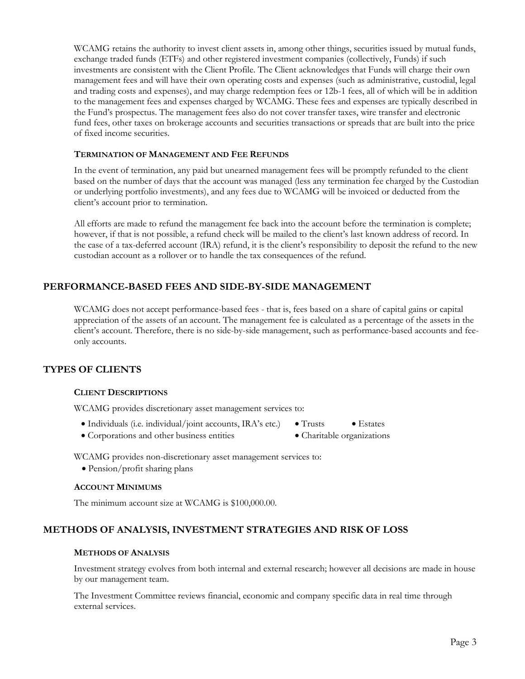WCAMG retains the authority to invest client assets in, among other things, securities issued by mutual funds, exchange traded funds (ETFs) and other registered investment companies (collectively, Funds) if such investments are consistent with the Client Profile. The Client acknowledges that Funds will charge their own management fees and will have their own operating costs and expenses (such as administrative, custodial, legal and trading costs and expenses), and may charge redemption fees or 12b-1 fees, all of which will be in addition to the management fees and expenses charged by WCAMG. These fees and expenses are typically described in the Fund's prospectus. The management fees also do not cover transfer taxes, wire transfer and electronic fund fees, other taxes on brokerage accounts and securities transactions or spreads that are built into the price of fixed income securities.

#### **TERMINATION OF MANAGEMENT AND FEE REFUNDS**

In the event of termination, any paid but unearned management fees will be promptly refunded to the client based on the number of days that the account was managed (less any termination fee charged by the Custodian or underlying portfolio investments), and any fees due to WCAMG will be invoiced or deducted from the client's account prior to termination.

All efforts are made to refund the management fee back into the account before the termination is complete; however, if that is not possible, a refund check will be mailed to the client's last known address of record. In the case of a tax-deferred account (IRA) refund, it is the client's responsibility to deposit the refund to the new custodian account as a rollover or to handle the tax consequences of the refund.

## **PERFORMANCE-BASED FEES AND SIDE-BY-SIDE MANAGEMENT**

WCAMG does not accept performance-based fees - that is, fees based on a share of capital gains or capital appreciation of the assets of an account. The management fee is calculated as a percentage of the assets in the client's account. Therefore, there is no side-by-side management, such as performance-based accounts and feeonly accounts.

## **TYPES OF CLIENTS**

#### **CLIENT DESCRIPTIONS**

WCAMG provides discretionary asset management services to:

- Individuals (i.e. individual/joint accounts, IRA's etc.) Trusts Estates
	-
- Corporations and other business entities Charitable organizations

WCAMG provides non-discretionary asset management services to:

• Pension/profit sharing plans

#### **ACCOUNT MINIMUMS**

The minimum account size at WCAMG is \$100,000.00.

## **METHODS OF ANALYSIS, INVESTMENT STRATEGIES AND RISK OF LOSS**

#### **METHODS OF ANALYSIS**

Investment strategy evolves from both internal and external research; however all decisions are made in house by our management team.

The Investment Committee reviews financial, economic and company specific data in real time through external services.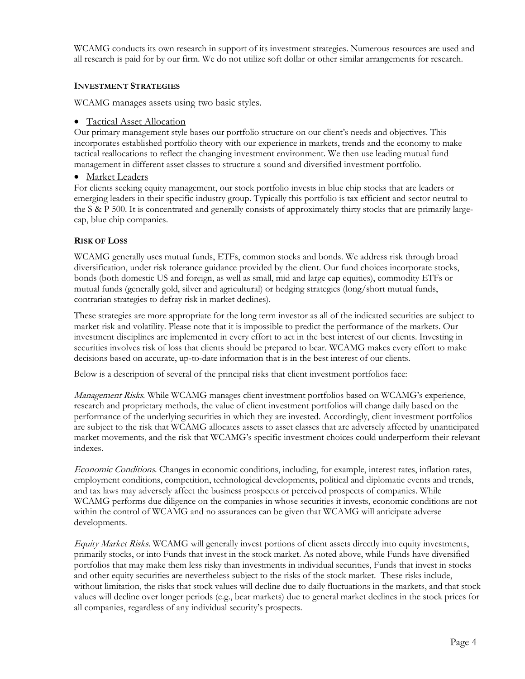WCAMG conducts its own research in support of its investment strategies. Numerous resources are used and all research is paid for by our firm. We do not utilize soft dollar or other similar arrangements for research.

#### **INVESTMENT STRATEGIES**

WCAMG manages assets using two basic styles.

### • Tactical Asset Allocation

Our primary management style bases our portfolio structure on our client's needs and objectives. This incorporates established portfolio theory with our experience in markets, trends and the economy to make tactical reallocations to reflect the changing investment environment. We then use leading mutual fund management in different asset classes to structure a sound and diversified investment portfolio.

### • Market Leaders

For clients seeking equity management, our stock portfolio invests in blue chip stocks that are leaders or emerging leaders in their specific industry group. Typically this portfolio is tax efficient and sector neutral to the S & P 500. It is concentrated and generally consists of approximately thirty stocks that are primarily largecap, blue chip companies.

### **RISK OF LOSS**

WCAMG generally uses mutual funds, ETFs, common stocks and bonds. We address risk through broad diversification, under risk tolerance guidance provided by the client. Our fund choices incorporate stocks, bonds (both domestic US and foreign, as well as small, mid and large cap equities), commodity ETFs or mutual funds (generally gold, silver and agricultural) or hedging strategies (long/short mutual funds, contrarian strategies to defray risk in market declines).

These strategies are more appropriate for the long term investor as all of the indicated securities are subject to market risk and volatility. Please note that it is impossible to predict the performance of the markets. Our investment disciplines are implemented in every effort to act in the best interest of our clients. Investing in securities involves risk of loss that clients should be prepared to bear. WCAMG makes every effort to make decisions based on accurate, up-to-date information that is in the best interest of our clients.

Below is a description of several of the principal risks that client investment portfolios face:

Management Risks. While WCAMG manages client investment portfolios based on WCAMG's experience, research and proprietary methods, the value of client investment portfolios will change daily based on the performance of the underlying securities in which they are invested. Accordingly, client investment portfolios are subject to the risk that WCAMG allocates assets to asset classes that are adversely affected by unanticipated market movements, and the risk that WCAMG's specific investment choices could underperform their relevant indexes.

Economic Conditions. Changes in economic conditions, including, for example, interest rates, inflation rates, employment conditions, competition, technological developments, political and diplomatic events and trends, and tax laws may adversely affect the business prospects or perceived prospects of companies. While WCAMG performs due diligence on the companies in whose securities it invests, economic conditions are not within the control of WCAMG and no assurances can be given that WCAMG will anticipate adverse developments.

Equity Market Risks. WCAMG will generally invest portions of client assets directly into equity investments, primarily stocks, or into Funds that invest in the stock market. As noted above, while Funds have diversified portfolios that may make them less risky than investments in individual securities, Funds that invest in stocks and other equity securities are nevertheless subject to the risks of the stock market. These risks include, without limitation, the risks that stock values will decline due to daily fluctuations in the markets, and that stock values will decline over longer periods (e.g., bear markets) due to general market declines in the stock prices for all companies, regardless of any individual security's prospects.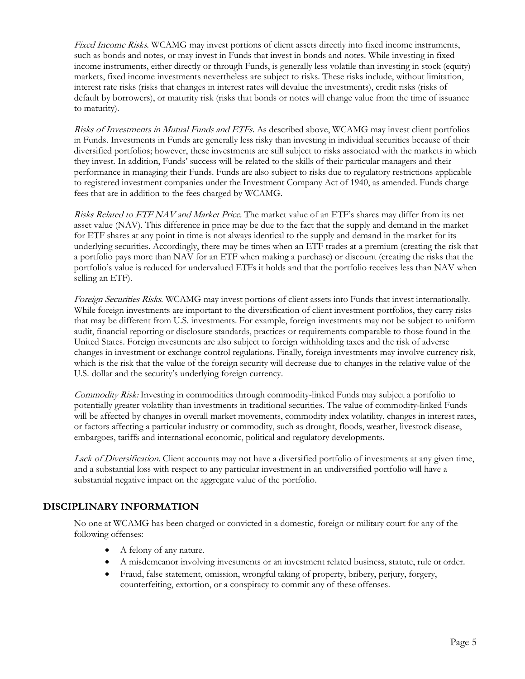Fixed Income Risks. WCAMG may invest portions of client assets directly into fixed income instruments, such as bonds and notes, or may invest in Funds that invest in bonds and notes. While investing in fixed income instruments, either directly or through Funds, is generally less volatile than investing in stock (equity) markets, fixed income investments nevertheless are subject to risks. These risks include, without limitation, interest rate risks (risks that changes in interest rates will devalue the investments), credit risks (risks of default by borrowers), or maturity risk (risks that bonds or notes will change value from the time of issuance to maturity).

Risks of Investments in Mutual Funds and ETFs. As described above, WCAMG may invest client portfolios in Funds. Investments in Funds are generally less risky than investing in individual securities because of their diversified portfolios; however, these investments are still subject to risks associated with the markets in which they invest. In addition, Funds' success will be related to the skills of their particular managers and their performance in managing their Funds. Funds are also subject to risks due to regulatory restrictions applicable to registered investment companies under the Investment Company Act of 1940, as amended. Funds charge fees that are in addition to the fees charged by WCAMG.

Risks Related to ETF NAV and Market Price. The market value of an ETF's shares may differ from its net asset value (NAV). This difference in price may be due to the fact that the supply and demand in the market for ETF shares at any point in time is not always identical to the supply and demand in the market for its underlying securities. Accordingly, there may be times when an ETF trades at a premium (creating the risk that a portfolio pays more than NAV for an ETF when making a purchase) or discount (creating the risks that the portfolio's value is reduced for undervalued ETFs it holds and that the portfolio receives less than NAV when selling an ETF).

Foreign Securities Risks. WCAMG may invest portions of client assets into Funds that invest internationally. While foreign investments are important to the diversification of client investment portfolios, they carry risks that may be different from U.S. investments. For example, foreign investments may not be subject to uniform audit, financial reporting or disclosure standards, practices or requirements comparable to those found in the United States. Foreign investments are also subject to foreign withholding taxes and the risk of adverse changes in investment or exchange control regulations. Finally, foreign investments may involve currency risk, which is the risk that the value of the foreign security will decrease due to changes in the relative value of the U.S. dollar and the security's underlying foreign currency.

Commodity Risk: Investing in commodities through commodity-linked Funds may subject a portfolio to potentially greater volatility than investments in traditional securities. The value of commodity-linked Funds will be affected by changes in overall market movements, commodity index volatility, changes in interest rates, or factors affecting a particular industry or commodity, such as drought, floods, weather, livestock disease, embargoes, tariffs and international economic, political and regulatory developments.

Lack of Diversification. Client accounts may not have a diversified portfolio of investments at any given time, and a substantial loss with respect to any particular investment in an undiversified portfolio will have a substantial negative impact on the aggregate value of the portfolio.

## **DISCIPLINARY INFORMATION**

No one at WCAMG has been charged or convicted in a domestic, foreign or military court for any of the following offenses:

- A felony of any nature.
- A misdemeanor involving investments or an investment related business, statute, rule or order.
- Fraud, false statement, omission, wrongful taking of property, bribery, perjury, forgery, counterfeiting, extortion, or a conspiracy to commit any of these offenses.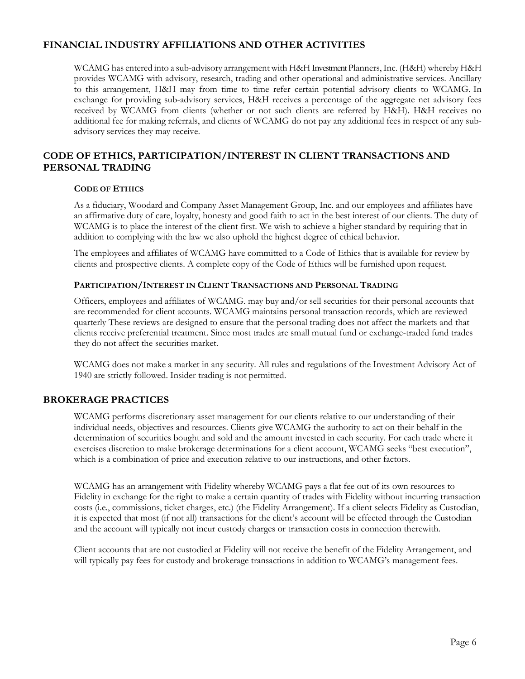## **FINANCIAL INDUSTRY AFFILIATIONS AND OTHER ACTIVITIES**

WCAMG has entered into a sub-advisory arrangement with H&H Investment Planners,Inc. (H&H) whereby H&H provides WCAMG with advisory, research, trading and other operational and administrative services. Ancillary to this arrangement, H&H may from time to time refer certain potential advisory clients to WCAMG. In exchange for providing sub-advisory services, H&H receives a percentage of the aggregate net advisory fees received by WCAMG from clients (whether or not such clients are referred by H&H). H&H receives no additional fee for making referrals, and clients of WCAMG do not pay any additional fees in respect of any subadvisory services they may receive.

## **CODE OF ETHICS, PARTICIPATION/INTEREST IN CLIENT TRANSACTIONS AND PERSONAL TRADING**

#### **CODE OF ETHICS**

As a fiduciary, Woodard and Company Asset Management Group, Inc. and our employees and affiliates have an affirmative duty of care, loyalty, honesty and good faith to act in the best interest of our clients. The duty of WCAMG is to place the interest of the client first. We wish to achieve a higher standard by requiring that in addition to complying with the law we also uphold the highest degree of ethical behavior.

The employees and affiliates of WCAMG have committed to a Code of Ethics that is available for review by clients and prospective clients. A complete copy of the Code of Ethics will be furnished upon request.

#### **PARTICIPATION/INTEREST IN CLIENT TRANSACTIONS AND PERSONAL TRADING**

Officers, employees and affiliates of WCAMG. may buy and/or sell securities for their personal accounts that are recommended for client accounts. WCAMG maintains personal transaction records, which are reviewed quarterly These reviews are designed to ensure that the personal trading does not affect the markets and that clients receive preferential treatment. Since most trades are small mutual fund or exchange-traded fund trades they do not affect the securities market.

WCAMG does not make a market in any security. All rules and regulations of the Investment Advisory Act of 1940 are strictly followed. Insider trading is not permitted.

#### **BROKERAGE PRACTICES**

WCAMG performs discretionary asset management for our clients relative to our understanding of their individual needs, objectives and resources. Clients give WCAMG the authority to act on their behalf in the determination of securities bought and sold and the amount invested in each security. For each trade where it exercises discretion to make brokerage determinations for a client account, WCAMG seeks "best execution", which is a combination of price and execution relative to our instructions, and other factors.

WCAMG has an arrangement with Fidelity whereby WCAMG pays a flat fee out of its own resources to Fidelity in exchange for the right to make a certain quantity of trades with Fidelity without incurring transaction costs (i.e., commissions, ticket charges, etc.) (the Fidelity Arrangement). If a client selects Fidelity as Custodian, it is expected that most (if not all) transactions for the client's account will be effected through the Custodian and the account will typically not incur custody charges or transaction costs in connection therewith.

Client accounts that are not custodied at Fidelity will not receive the benefit of the Fidelity Arrangement, and will typically pay fees for custody and brokerage transactions in addition to WCAMG's management fees.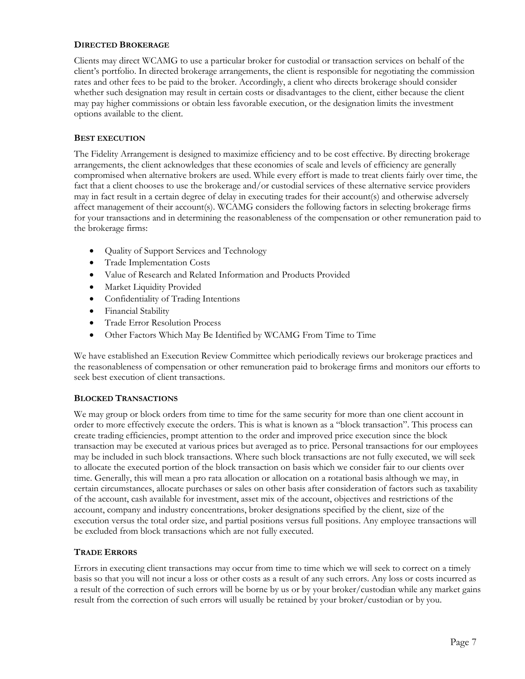#### **DIRECTED BROKERAGE**

Clients may direct WCAMG to use a particular broker for custodial or transaction services on behalf of the client's portfolio. In directed brokerage arrangements, the client is responsible for negotiating the commission rates and other fees to be paid to the broker. Accordingly, a client who directs brokerage should consider whether such designation may result in certain costs or disadvantages to the client, either because the client may pay higher commissions or obtain less favorable execution, or the designation limits the investment options available to the client.

#### **BEST EXECUTION**

The Fidelity Arrangement is designed to maximize efficiency and to be cost effective. By directing brokerage arrangements, the client acknowledges that these economies of scale and levels of efficiency are generally compromised when alternative brokers are used. While every effort is made to treat clients fairly over time, the fact that a client chooses to use the brokerage and/or custodial services of these alternative service providers may in fact result in a certain degree of delay in executing trades for their account(s) and otherwise adversely affect management of their account(s). WCAMG considers the following factors in selecting brokerage firms for your transactions and in determining the reasonableness of the compensation or other remuneration paid to the brokerage firms:

- Quality of Support Services and Technology
- Trade Implementation Costs
- Value of Research and Related Information and Products Provided
- Market Liquidity Provided
- Confidentiality of Trading Intentions
- Financial Stability
- Trade Error Resolution Process
- Other Factors Which May Be Identified by WCAMG From Time to Time

We have established an Execution Review Committee which periodically reviews our brokerage practices and the reasonableness of compensation or other remuneration paid to brokerage firms and monitors our efforts to seek best execution of client transactions.

#### **BLOCKED TRANSACTIONS**

We may group or block orders from time to time for the same security for more than one client account in order to more effectively execute the orders. This is what is known as a "block transaction". This process can create trading efficiencies, prompt attention to the order and improved price execution since the block transaction may be executed at various prices but averaged as to price. Personal transactions for our employees may be included in such block transactions. Where such block transactions are not fully executed, we will seek to allocate the executed portion of the block transaction on basis which we consider fair to our clients over time. Generally, this will mean a pro rata allocation or allocation on a rotational basis although we may, in certain circumstances, allocate purchases or sales on other basis after consideration of factors such as taxability of the account, cash available for investment, asset mix of the account, objectives and restrictions of the account, company and industry concentrations, broker designations specified by the client, size of the execution versus the total order size, and partial positions versus full positions. Any employee transactions will be excluded from block transactions which are not fully executed.

#### **TRADE ERRORS**

Errors in executing client transactions may occur from time to time which we will seek to correct on a timely basis so that you will not incur a loss or other costs as a result of any such errors. Any loss or costs incurred as a result of the correction of such errors will be borne by us or by your broker/custodian while any market gains result from the correction of such errors will usually be retained by your broker/custodian or by you.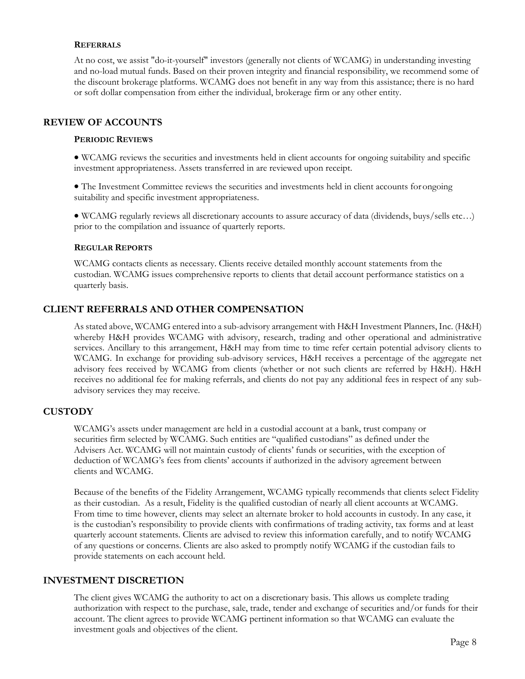#### **REFERRALS**

At no cost, we assist "do-it-yourself" investors (generally not clients of WCAMG) in understanding investing and no-load mutual funds. Based on their proven integrity and financial responsibility, we recommend some of the discount brokerage platforms. WCAMG does not benefit in any way from this assistance; there is no hard or soft dollar compensation from either the individual, brokerage firm or any other entity.

#### **REVIEW OF ACCOUNTS**

#### **PERIODIC REVIEWS**

• WCAMG reviews the securities and investments held in client accounts for ongoing suitability and specific investment appropriateness. Assets transferred in are reviewed upon receipt.

• The Investment Committee reviews the securities and investments held in client accounts forongoing suitability and specific investment appropriateness.

• WCAMG regularly reviews all discretionary accounts to assure accuracy of data (dividends, buys/sells etc…) prior to the compilation and issuance of quarterly reports.

#### **REGULAR REPORTS**

WCAMG contacts clients as necessary. Clients receive detailed monthly account statements from the custodian. WCAMG issues comprehensive reports to clients that detail account performance statistics on a quarterly basis.

### **CLIENT REFERRALS AND OTHER COMPENSATION**

As stated above, WCAMG entered into a sub-advisory arrangement with H&H Investment Planners, Inc. (H&H) whereby H&H provides WCAMG with advisory, research, trading and other operational and administrative services. Ancillary to this arrangement, H&H may from time to time refer certain potential advisory clients to WCAMG. In exchange for providing sub-advisory services, H&H receives a percentage of the aggregate net advisory fees received by WCAMG from clients (whether or not such clients are referred by H&H). H&H receives no additional fee for making referrals, and clients do not pay any additional fees in respect of any subadvisory services they may receive.

## **CUSTODY**

WCAMG's assets under management are held in a custodial account at a bank, trust company or securities firm selected by WCAMG. Such entities are "qualified custodians" as defined under the Advisers Act. WCAMG will not maintain custody of clients' funds or securities, with the exception of deduction of WCAMG's fees from clients' accounts if authorized in the advisory agreement between clients and WCAMG.

Because of the benefits of the Fidelity Arrangement, WCAMG typically recommends that clients select Fidelity as their custodian. As a result, Fidelity is the qualified custodian of nearly all client accounts at WCAMG. From time to time however, clients may select an alternate broker to hold accounts in custody. In any case, it is the custodian's responsibility to provide clients with confirmations of trading activity, tax forms and at least quarterly account statements. Clients are advised to review this information carefully, and to notify WCAMG of any questions or concerns. Clients are also asked to promptly notify WCAMG if the custodian fails to provide statements on each account held.

#### **INVESTMENT DISCRETION**

The client gives WCAMG the authority to act on a discretionary basis. This allows us complete trading authorization with respect to the purchase, sale, trade, tender and exchange of securities and/or funds for their account. The client agrees to provide WCAMG pertinent information so that WCAMG can evaluate the investment goals and objectives of the client.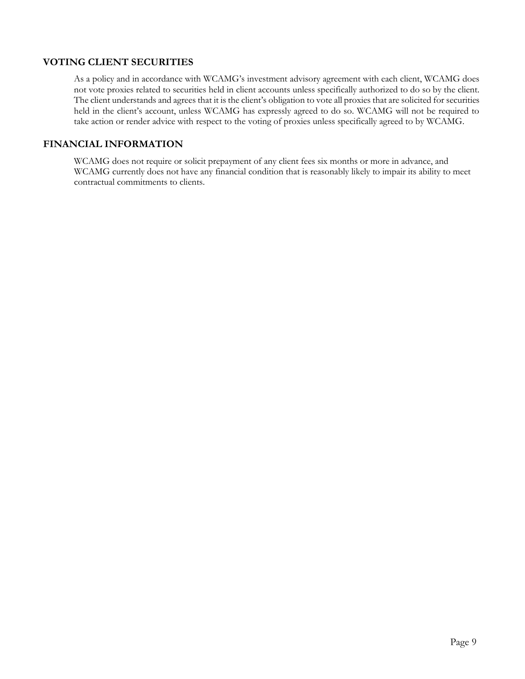## **VOTING CLIENT SECURITIES**

As a policy and in accordance with WCAMG's investment advisory agreement with each client, WCAMG does not vote proxies related to securities held in client accounts unless specifically authorized to do so by the client. The client understands and agrees that it is the client's obligation to vote all proxies that are solicited for securities held in the client's account, unless WCAMG has expressly agreed to do so. WCAMG will not be required to take action or render advice with respect to the voting of proxies unless specifically agreed to by WCAMG.

## **FINANCIAL INFORMATION**

WCAMG does not require or solicit prepayment of any client fees six months or more in advance, and WCAMG currently does not have any financial condition that is reasonably likely to impair its ability to meet contractual commitments to clients.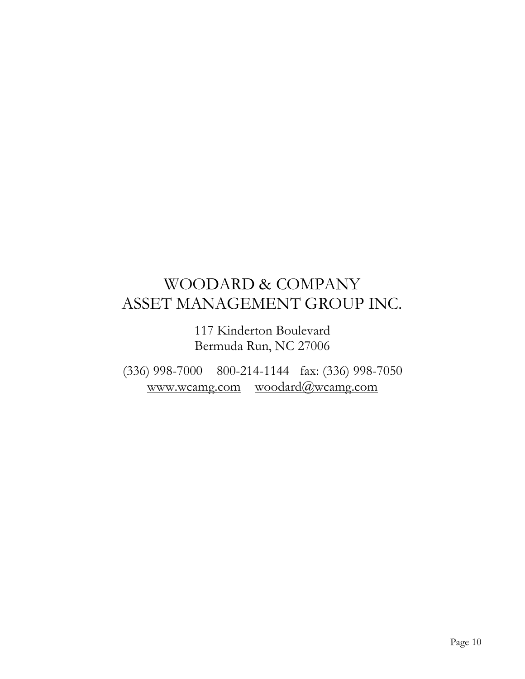# WOODARD & COMPANY ASSET MANAGEMENT GROUP INC.

117 Kinderton Boulevard Bermuda Run, NC 27006

(336) 998-7000 800-214-1144 fax: (336) 998-7050 [www.wcamg.com](http://www.wcamg.com/) [woodard@wcamg.com](mailto:woodard@wcamg.com)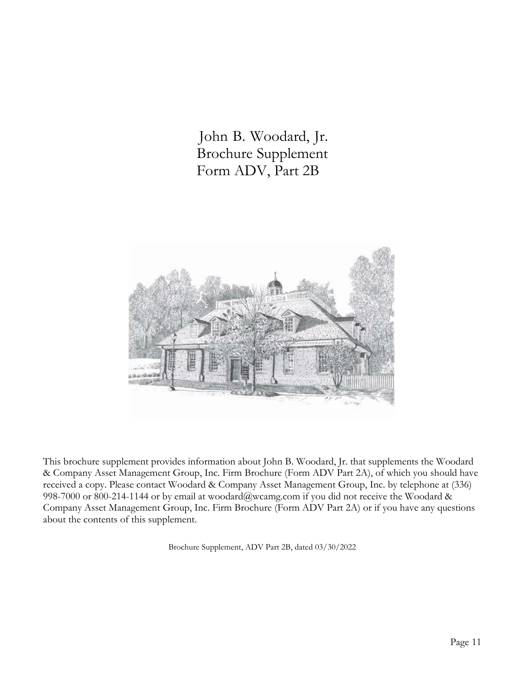John B. Woodard, Jr. Brochure Supplement Form ADV, Part 2B



This brochure supplement provides information about John B. Woodard, Jr. that supplements the Woodard & Company Asset Management Group, Inc. Firm Brochure (Form ADV Part 2A), of which you should have received a copy. Please contact Woodard & Company Asset Management Group, Inc. by telephone at (336) 998-7000 or 800-214-1144 or by email at [woodard@wcamg.com i](mailto:woodard@wcamg.com)f you did not receive the Woodard & Company Asset Management Group, Inc. Firm Brochure (Form ADV Part 2A) or if you have any questions about the contents of this supplement.

Brochure Supplement, ADV Part 2B, dated 03/30/2022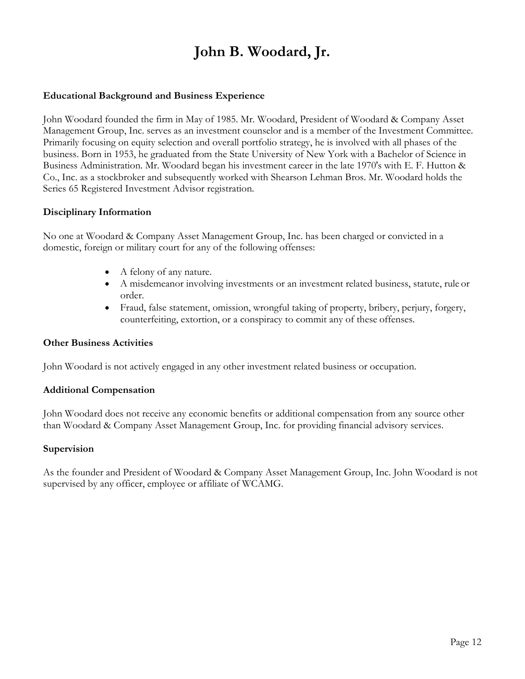# **John B. Woodard, Jr.**

## **Educational Background and Business Experience**

John Woodard founded the firm in May of 1985. Mr. Woodard, President of Woodard & Company Asset Management Group, Inc. serves as an investment counselor and is a member of the Investment Committee. Primarily focusing on equity selection and overall portfolio strategy, he is involved with all phases of the business. Born in 1953, he graduated from the State University of New York with a Bachelor of Science in Business Administration. Mr. Woodard began his investment career in the late 1970's with E. F. Hutton & Co., Inc. as a stockbroker and subsequently worked with Shearson Lehman Bros. Mr. Woodard holds the Series 65 Registered Investment Advisor registration.

### **Disciplinary Information**

No one at Woodard & Company Asset Management Group, Inc. has been charged or convicted in a domestic, foreign or military court for any of the following offenses:

- A felony of any nature.
- A misdemeanor involving investments or an investment related business, statute, rule or order.
- Fraud, false statement, omission, wrongful taking of property, bribery, perjury, forgery, counterfeiting, extortion, or a conspiracy to commit any of these offenses.

#### **Other Business Activities**

John Woodard is not actively engaged in any other investment related business or occupation.

#### **Additional Compensation**

John Woodard does not receive any economic benefits or additional compensation from any source other than Woodard & Company Asset Management Group, Inc. for providing financial advisory services.

#### **Supervision**

As the founder and President of Woodard & Company Asset Management Group, Inc. John Woodard is not supervised by any officer, employee or affiliate of WCAMG.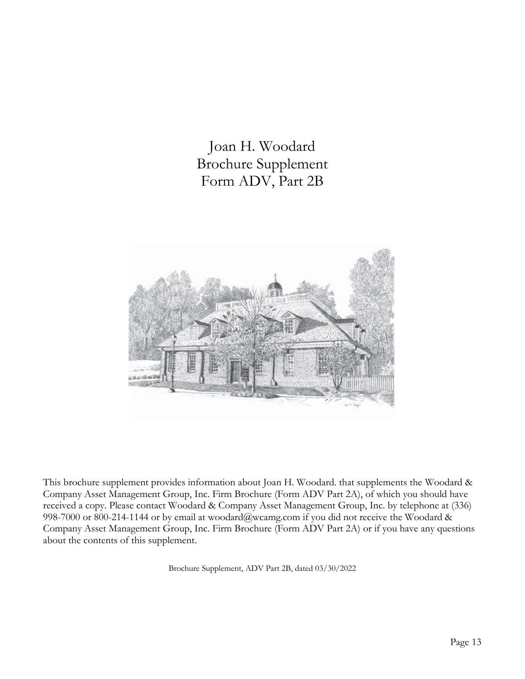Joan H. Woodard Brochure Supplement Form ADV, Part 2B



This brochure supplement provides information about Joan H. Woodard. that supplements the Woodard & Company Asset Management Group, Inc. Firm Brochure (Form ADV Part 2A), of which you should have received a copy. Please contact Woodard & Company Asset Management Group, Inc. by telephone at (336) 998-7000 or 800-214-1144 or by email at [woodard@wcamg.com i](mailto:woodard@wcamg.com)f you did not receive the Woodard & Company Asset Management Group, Inc. Firm Brochure (Form ADV Part 2A) or if you have any questions about the contents of this supplement.

Brochure Supplement, ADV Part 2B, dated 03/30/2022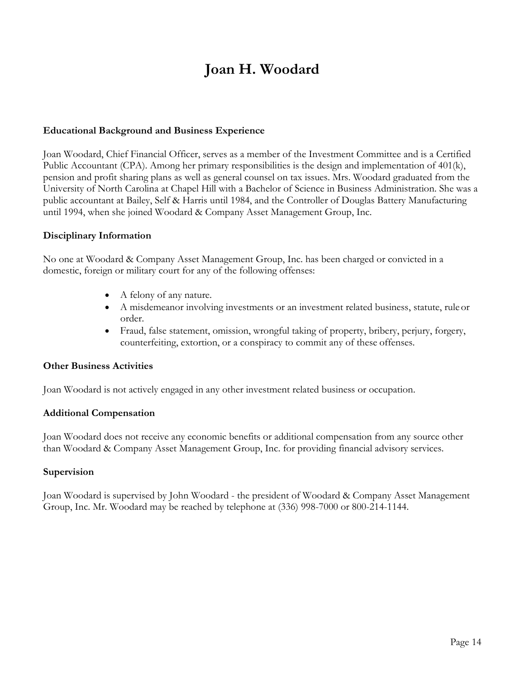# **Joan H. Woodard**

## **Educational Background and Business Experience**

Joan Woodard, Chief Financial Officer, serves as a member of the Investment Committee and is a Certified Public Accountant (CPA). Among her primary responsibilities is the design and implementation of 401(k), pension and profit sharing plans as well as general counsel on tax issues. Mrs. Woodard graduated from the University of North Carolina at Chapel Hill with a Bachelor of Science in Business Administration. She was a public accountant at Bailey, Self & Harris until 1984, and the Controller of Douglas Battery Manufacturing until 1994, when she joined Woodard & Company Asset Management Group, Inc.

## **Disciplinary Information**

No one at Woodard & Company Asset Management Group, Inc. has been charged or convicted in a domestic, foreign or military court for any of the following offenses:

- A felony of any nature.
- A misdemeanor involving investments or an investment related business, statute, rule or order.
- Fraud, false statement, omission, wrongful taking of property, bribery, perjury, forgery, counterfeiting, extortion, or a conspiracy to commit any of these offenses.

## **Other Business Activities**

Joan Woodard is not actively engaged in any other investment related business or occupation.

## **Additional Compensation**

Joan Woodard does not receive any economic benefits or additional compensation from any source other than Woodard & Company Asset Management Group, Inc. for providing financial advisory services.

## **Supervision**

Joan Woodard is supervised by John Woodard - the president of Woodard & Company Asset Management Group, Inc. Mr. Woodard may be reached by telephone at (336) 998-7000 or 800-214-1144.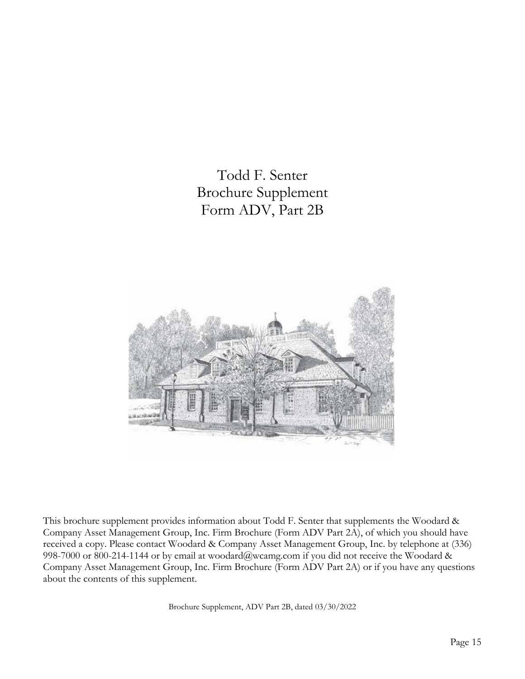Todd F. Senter Brochure Supplement Form ADV, Part 2B



This brochure supplement provides information about Todd F. Senter that supplements the Woodard & Company Asset Management Group, Inc. Firm Brochure (Form ADV Part 2A), of which you should have received a copy. Please contact Woodard & Company Asset Management Group, Inc. by telephone at (336) 998-7000 or 800-214-1144 or by email at [woodard@wcamg.com i](mailto:woodard@wcamg.com)f you did not receive the Woodard & Company Asset Management Group, Inc. Firm Brochure (Form ADV Part 2A) or if you have any questions about the contents of this supplement.

Brochure Supplement, ADV Part 2B, dated 03/30/2022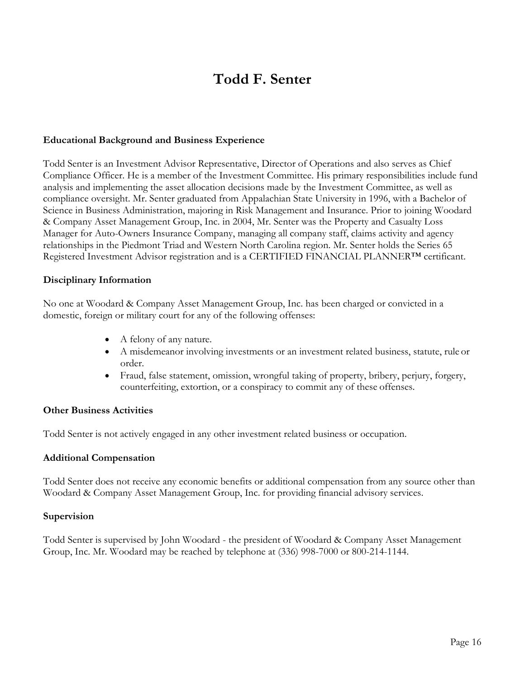## **Todd F. Senter**

### **Educational Background and Business Experience**

Todd Senter is an Investment Advisor Representative, Director of Operations and also serves as Chief Compliance Officer. He is a member of the Investment Committee. His primary responsibilities include fund analysis and implementing the asset allocation decisions made by the Investment Committee, as well as compliance oversight. Mr. Senter graduated from Appalachian State University in 1996, with a Bachelor of Science in Business Administration, majoring in Risk Management and Insurance. Prior to joining Woodard & Company Asset Management Group, Inc. in 2004, Mr. Senter was the Property and Casualty Loss Manager for Auto-Owners Insurance Company, managing all company staff, claims activity and agency relationships in the Piedmont Triad and Western North Carolina region. Mr. Senter holds the Series 65 Registered Investment Advisor registration and is a CERTIFIED FINANCIAL PLANNER™ certificant.

#### **Disciplinary Information**

No one at Woodard & Company Asset Management Group, Inc. has been charged or convicted in a domestic, foreign or military court for any of the following offenses:

- A felony of any nature.
- A misdemeanor involving investments or an investment related business, statute, rule or order.
- Fraud, false statement, omission, wrongful taking of property, bribery, perjury, forgery, counterfeiting, extortion, or a conspiracy to commit any of these offenses.

## **Other Business Activities**

Todd Senter is not actively engaged in any other investment related business or occupation.

#### **Additional Compensation**

Todd Senter does not receive any economic benefits or additional compensation from any source other than Woodard & Company Asset Management Group, Inc. for providing financial advisory services.

#### **Supervision**

Todd Senter is supervised by John Woodard - the president of Woodard & Company Asset Management Group, Inc. Mr. Woodard may be reached by telephone at (336) 998-7000 or 800-214-1144.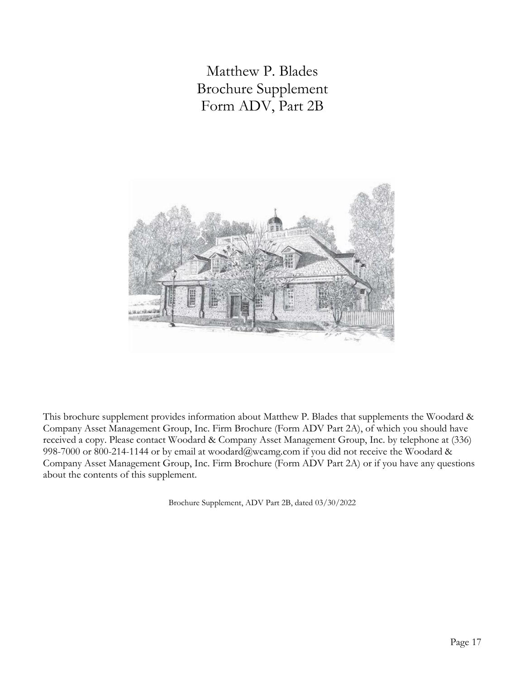Matthew P. Blades Brochure Supplement Form ADV, Part 2B



This brochure supplement provides information about Matthew P. Blades that supplements the Woodard & Company Asset Management Group, Inc. Firm Brochure (Form ADV Part 2A), of which you should have received a copy. Please contact Woodard & Company Asset Management Group, Inc. by telephone at (336) 998-7000 or 800-214-1144 or by email at [woodard@wcamg.com i](mailto:woodard@wcamg.com)f you did not receive the Woodard & Company Asset Management Group, Inc. Firm Brochure (Form ADV Part 2A) or if you have any questions about the contents of this supplement.

Brochure Supplement, ADV Part 2B, dated 03/30/2022